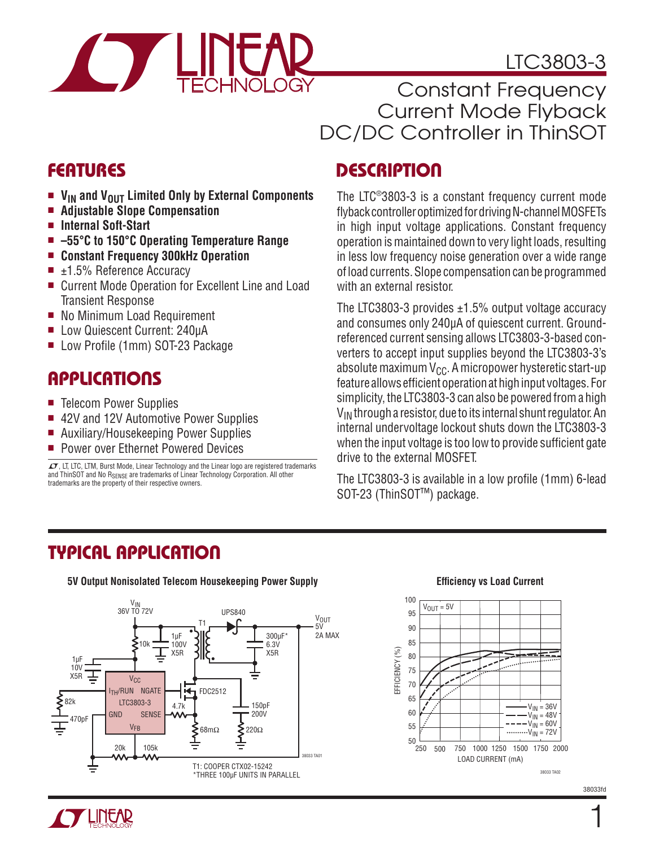

### LTC3803-3

Constant Frequency Current Mode Flyback DC/DC Controller in ThinSOT

### **FEATURES**

- V<sub>IN</sub> and V<sub>OUT</sub> Limited Only by External Components<br>■ Adiustable Slone Compensation
- <sup>n</sup> **Adjustable Slope Compensation**
- Internal Soft-Start
- $-55^{\circ}$ C to 150<sup>°</sup>C Operating Temperature Range
- <sup>n</sup> **Constant Frequency 300kHz Operation**
- $\blacksquare$  ±1.5% Reference Accuracy
- Current Mode Operation for Excellent Line and Load Transient Response
- No Minimum Load Requirement
- Low Quiescent Current: 240uA
- Low Profile (1mm) SOT-23 Package

### **APPLICATIONS**

- Telecom Power Supplies
- 42V and 12V Automotive Power Supplies
- Auxiliary/Housekeeping Power Supplies
- **Power over Ethernet Powered Devices**

 $I$ , LT, LTC, LTM, Burst Mode, Linear Technology and the Linear logo are registered trademarks and ThinSOT and No R<sub>SENSE</sub> are trademarks of Linear Technology Corporation. All other trademarks are the property of their respective owners.

### **DESCRIPTION**

The LTC®3803-3 is a constant frequency current mode flyback controller optimized for driving N-channel MOSFETs in high input voltage applications. Constant frequency operation is maintained down to very light loads, resulting in less low frequency noise generation over a wide range of load currents. Slope compensation can be programmed with an external resistor.

The LTC3803-3 provides  $\pm 1.5\%$  output voltage accuracy and consumes only 240μA of quiescent current. Groundreferenced current sensing allows LTC3803-3-based converters to accept input supplies beyond the LTC3803-3's absolute maximum  $V_{CC}$ . A micropower hysteretic start-up feature allows efficient operation at high input voltages. For simplicity, the LTC3803-3 can also be powered from a high  $V_{IN}$  through a resistor, due to its internal shunt regulator. An internal undervoltage lockout shuts down the LTC3803-3 when the input voltage is too low to provide sufficient gate drive to the external MOSFET.

The LTC3803-3 is available in a low profile (1mm) 6-lead SOT-23 (ThinSOT<sup>™</sup>) package.

### **TYPICAL APPLICATION**



#### **Efficiency vs Load Current**



38033fd

1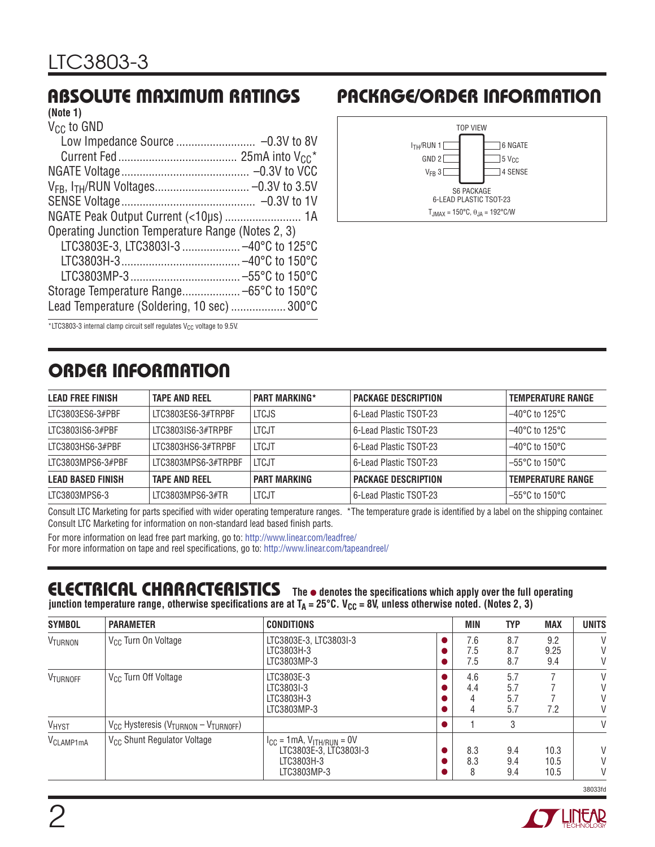### **ABSOLUTE MAXIMUM RATINGS**

#### $\sim$   $\sim$ **(Note 1)**

| Vec to GND                                        |  |
|---------------------------------------------------|--|
|                                                   |  |
|                                                   |  |
|                                                   |  |
|                                                   |  |
|                                                   |  |
|                                                   |  |
| Operating Junction Temperature Range (Notes 2, 3) |  |
| LTC3803E-3, LTC3803I-3  -40°C to 125°C            |  |
|                                                   |  |
|                                                   |  |
|                                                   |  |
| Lead Temperature (Soldering, 10 sec)  300°C       |  |
|                                                   |  |

#### **PACKAGE/ORDER INFORMATION**



 $*$ LTC3803-3 internal clamp circuit self regulates V<sub>CC</sub> voltage to 9.5V.

### **ORDER INFORMATION**

| <b>LEAD FREE FINISH</b>  | <b>TAPE AND REEL</b> | <b>PART MARKING*</b> | <b>PACKAGE DESCRIPTION</b> | <b>TEMPERATURE RANGE</b>  |
|--------------------------|----------------------|----------------------|----------------------------|---------------------------|
| LTC3803ES6-3#PBF         | ITC3803FS6-3#TRPBF   | <b>LTCJS</b>         | 6-Lead Plastic TSOT-23     | $-40^{\circ}$ C to 125°C  |
| LTC3803IS6-3#PBF         | LTC3803IS6-3#TRPBF   | LTCJT                | 6-Lead Plastic TSOT-23     | $-40^{\circ}$ C to 125°C  |
| LTC3803HS6-3#PBF         | LTC3803HS6-3#TRPBF   | <b>LTCJT</b>         | 6-Lead Plastic TSOT-23     | $-40^{\circ}$ C to 150°C. |
| ITC3803MPS6-3#PBF        | LTC3803MPS6-3#TRPBF  | <b>LTCJT</b>         | 6-Lead Plastic TSOT-23     | $-55^{\circ}$ C to 150°C  |
| <b>LEAD BASED FINISH</b> | <b>TAPE AND REEL</b> | <b>PART MARKING</b>  | <b>PACKAGE DESCRIPTION</b> | <b>TEMPERATURE RANGE</b>  |
| LTC3803MPS6-3            | LTC3803MPS6-3#TR     | LTCJT                | 6-Lead Plastic TSOT-23     | $-55^{\circ}$ C to 150°C  |

Consult LTC Marketing for parts specified with wider operating temperature ranges. \*The temperature grade is identified by a label on the shipping container. Consult LTC Marketing for information on non-standard lead based finish parts.

For more information on lead free part marking, go to: http://www.linear.com/leadfree/

For more information on tape and reel specifications, go to: http://www.linear.com/tapeandreel/

#### **ELECTRICAL CHARACTERISTICS** The  $\bullet$  denotes the specifications which apply over the full operating junction temperature range, otherwise specifications are at  $T_A = 25^\circ \text{C}$ . V<sub>CC</sub> = 8V, unless otherwise noted. (Notes 2, 3)

| <b>SYMBOL</b>         | <b>PARAMETER</b>                                                         | <b>CONDITIONS</b>                                                                          | <b>MIN</b>        | <b>TYP</b>               | <b>MAX</b>           | <b>UNITS</b> |
|-----------------------|--------------------------------------------------------------------------|--------------------------------------------------------------------------------------------|-------------------|--------------------------|----------------------|--------------|
| VTURNON               | V <sub>CC</sub> Turn On Voltage                                          | LTC3803E-3, LTC3803I-3<br>LTC3803H-3<br>LTC3803MP-3                                        | 7.6<br>7.5<br>7.5 | 8.7<br>8.7<br>8.7        | 9.2<br>9.25<br>9.4   | V<br>V<br>V  |
| VTURNOFF              | V <sub>CC</sub> Turn Off Voltage                                         | LTC3803E-3<br>LTC3803I-3<br>LTC3803H-3<br>LTC3803MP-3                                      | 4.6<br>4.4        | 5.7<br>5.7<br>5.7<br>5.7 | 7.2                  | V<br>V<br>V  |
| VHYST                 | V <sub>CC</sub> Hysteresis (V <sub>TURNON</sub> - V <sub>TURNOFF</sub> ) |                                                                                            |                   | 3                        |                      | V            |
| V <sub>CLAMP1mA</sub> | V <sub>CC</sub> Shunt Regulator Voltage                                  | $I_{CC} = 1mA$ , $V_{ITH/RUN} = 0V$<br>LTC3803E-3. LTC3803I-3<br>LTC3803H-3<br>LTC3803MP-3 | 8.3<br>8.3<br>8   | 9.4<br>9.4<br>9.4        | 10.3<br>10.5<br>10.5 | V<br>V<br>V  |



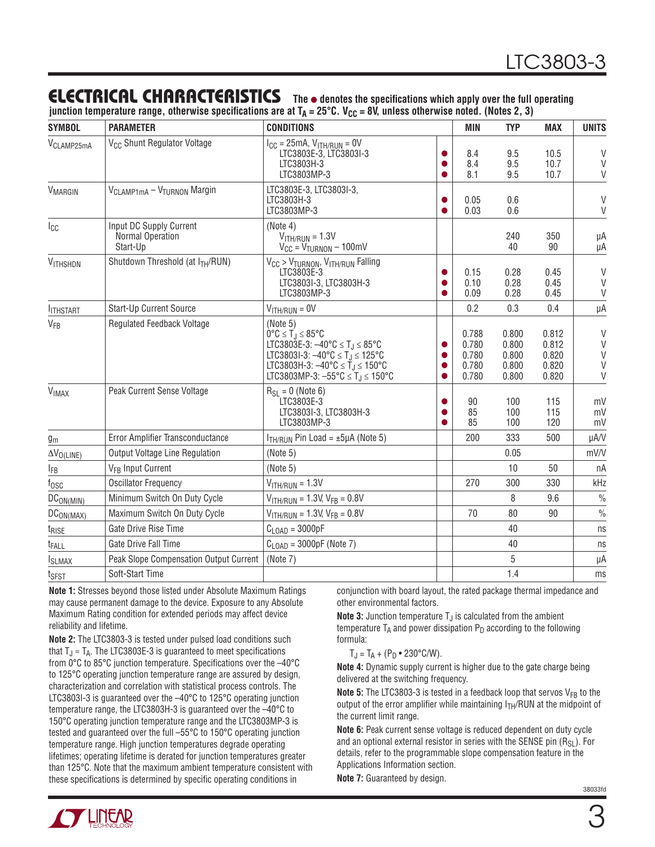#### **ELECTRICAL CHARACTERISTICS** The  $\bullet$  denotes the specifications which apply over the full operating

junction temperature range, otherwise specifications are at T<sub>A</sub> = 25°C. V<sub>CC</sub> = 8V, unless otherwise noted. (Notes 2, 3)

| <b>SYMBOL</b>           | <b>PARAMETER</b>                                        | <b>CONDITIONS</b>                                                                                                                                                                                                                                                                                                                    |  | MIN                                       | <b>TYP</b>                                | <b>MAX</b>                                | <b>UNITS</b>                         |
|-------------------------|---------------------------------------------------------|--------------------------------------------------------------------------------------------------------------------------------------------------------------------------------------------------------------------------------------------------------------------------------------------------------------------------------------|--|-------------------------------------------|-------------------------------------------|-------------------------------------------|--------------------------------------|
| V <sub>CLAMP25mA</sub>  | V <sub>CC</sub> Shunt Regulator Voltage                 | $I_{CC} = 25mA$ , $V_{ITH/RUN} = 0V$<br>LTC3803E-3, LTC3803I-3<br>LTC3803H-3<br>LTC3803MP-3                                                                                                                                                                                                                                          |  | 8.4<br>8.4<br>8.1                         | 9.5<br>9.5<br>9.5                         | 10.5<br>10.7<br>10.7                      | V<br>$\vee$<br>$\mathsf{V}$          |
| <b>VMARGIN</b>          | V <sub>CLAMP1mA</sub> - V <sub>TURNON</sub> Margin      | LTC3803E-3, LTC3803I-3,<br>LTC3803H-3<br>LTC3803MP-3                                                                                                                                                                                                                                                                                 |  | 0.05<br>0.03                              | 0.6<br>0.6                                |                                           | V<br>V                               |
| $I_{CC}$                | Input DC Supply Current<br>Normal Operation<br>Start-Up | (Note 4)<br>$VITH/RUN = 1.3V$<br>$V_{CC} = V_{TURNON} - 100$ mV                                                                                                                                                                                                                                                                      |  |                                           | 240<br>40                                 | 350<br>90                                 | μA<br>μA                             |
| VITHSHDN                | Shutdown Threshold (at ITH/RUN)                         | $V_{CC}$ > $V_{TURNON}$ , $V_{TTH/RUN}$ Falling<br>LTC3803E-3<br>LTC3803I-3, LTC3803H-3<br>LTC3803MP-3                                                                                                                                                                                                                               |  | 0.15<br>0.10<br>0.09                      | 0.28<br>0.28<br>0.28                      | 0.45<br>0.45<br>0.45                      | V<br>$\vee$<br>V                     |
| <b>ITHSTART</b>         | <b>Start-Up Current Source</b>                          | $VITH/RUN = 0V$                                                                                                                                                                                                                                                                                                                      |  | 0.2                                       | 0.3                                       | 0.4                                       | μA                                   |
| VFB                     | <b>Regulated Feedback Voltage</b>                       | (Note 5)<br>$0^{\circ}$ C $\leq$ T <sub>.I</sub> $\leq$ 85°C<br>LTC3803E-3: $-40^{\circ}$ C $\leq$ T <sub>J</sub> $\leq$ 85°C<br>LTC3803I-3: $-40^{\circ}$ C $\leq$ T <sub>J</sub> $\leq$ 125°C<br>LTC3803H-3: $-40^{\circ}$ C $\leq$ T <sub>J</sub> $\leq$ 150°C<br>LTC3803MP-3: $-55^{\circ}$ C $\leq$ T <sub>J</sub> $\leq$ 150°C |  | 0.788<br>0.780<br>0.780<br>0.780<br>0.780 | 0.800<br>0.800<br>0.800<br>0.800<br>0.800 | 0.812<br>0.812<br>0.820<br>0.820<br>0.820 | $\vee$<br>$\vee$<br>V<br>V<br>$\vee$ |
| <b>V<sub>IMAX</sub></b> | Peak Current Sense Voltage                              | $R_{SI} = 0$ (Note 6)<br>LTC3803E-3<br>LTC3803I-3, LTC3803H-3<br>LTC3803MP-3                                                                                                                                                                                                                                                         |  | 90<br>85<br>85                            | 100<br>100<br>100                         | 115<br>115<br>120                         | mV<br>mV<br>mV                       |
| $g_m$                   | Error Amplifier Transconductance                        | $ITH/RUN$ Pin Load = $\pm 5\mu$ A (Note 5)                                                                                                                                                                                                                                                                                           |  | 200                                       | 333                                       | 500                                       | µA/V                                 |
| $\Delta V_{O(LIME)}$    | <b>Output Voltage Line Regulation</b>                   | (Note 5)                                                                                                                                                                                                                                                                                                                             |  |                                           | 0.05                                      |                                           | mV/V                                 |
| $I_{FB}$                | V <sub>FR</sub> Input Current                           | (Note 5)                                                                                                                                                                                                                                                                                                                             |  |                                           | 10                                        | 50                                        | пA                                   |
| $f_{\rm OSC}$           | <b>Oscillator Frequency</b>                             | $VITH/RUN = 1.3V$                                                                                                                                                                                                                                                                                                                    |  | 270                                       | 300                                       | 330                                       | kHz                                  |
| DC <sub>ON(MIN)</sub>   | Minimum Switch On Duty Cycle                            | $V_{\text{ITH/RUN}}$ = 1.3V, $V_{\text{FB}}$ = 0.8V                                                                                                                                                                                                                                                                                  |  |                                           | 8                                         | 9.6                                       | $\frac{0}{0}$                        |
| DC <sub>ON(MAX)</sub>   | Maximum Switch On Duty Cycle                            | $V_{ITH/RUN}$ = 1.3V, $V_{FB}$ = 0.8V                                                                                                                                                                                                                                                                                                |  | 70                                        | 80                                        | 90                                        | $\frac{0}{0}$                        |
| t <sub>RISE</sub>       | Gate Drive Rise Time                                    | $C_{\text{LOAD}} = 3000pF$<br>40                                                                                                                                                                                                                                                                                                     |  |                                           |                                           | ns                                        |                                      |
| t <sub>FALL</sub>       | Gate Drive Fall Time                                    | $C_{\text{LOAD}} = 3000pF$ (Note 7)<br>40                                                                                                                                                                                                                                                                                            |  |                                           | ns                                        |                                           |                                      |
| <b>I</b> SLMAX          | Peak Slope Compensation Output Current                  | 5<br>(Note 7)                                                                                                                                                                                                                                                                                                                        |  |                                           | μA                                        |                                           |                                      |
| t <sub>SFST</sub>       | Soft-Start Time                                         | 1.4                                                                                                                                                                                                                                                                                                                                  |  |                                           | ms                                        |                                           |                                      |

**Note 1:** Stresses beyond those listed under Absolute Maximum Ratings may cause permanent damage to the device. Exposure to any Absolute Maximum Rating condition for extended periods may affect device reliability and lifetime.

**Note 2:** The LTC3803-3 is tested under pulsed load conditions such that  $T_J \approx T_A$ . The LTC3803E-3 is guaranteed to meet specifications from  $0^{\circ}$ C to 85 $^{\circ}$ C junction temperature. Specifications over the  $-40^{\circ}$ C to 125°C operating junction temperature range are assured by design, characterization and correlation with statistical process controls. The LTC3803I-3 is guaranteed over the –40°C to 125°C operating junction temperature range, the LTC3803H-3 is guaranteed over the –40°C to 150°C operating junction temperature range and the LTC3803MP-3 is tested and guaranteed over the full –55°C to 150°C operating junction temperature range. High junction temperatures degrade operating lifetimes; operating lifetime is derated for junction temperatures greater than 125°C. Note that the maximum ambient temperature consistent with these specifications is determined by specific operating conditions in

conjunction with board layout, the rated package thermal impedance and other environmental factors.

**Note 3:** Junction temperature  $T_J$  is calculated from the ambient temperature  $T_A$  and power dissipation  $P_D$  according to the following formula:

 $T_J = T_A + (P_D \cdot 230^{\circ} \text{C/W}).$ 

**Note 4:** Dynamic supply current is higher due to the gate charge being delivered at the switching frequency.

**Note 5:** The LTC3803-3 is tested in a feedback loop that servos  $V_{FB}$  to the output of the error amplifier while maintaining  $I<sub>TH</sub>/RUN$  at the midpoint of the current limit range.

**Note 6:** Peak current sense voltage is reduced dependent on duty cycle and an optional external resistor in series with the SENSE pin  $(R_{SL})$ . For details, refer to the programmable slope compensation feature in the Applications Information section.

**Note 7:** Guaranteed by design.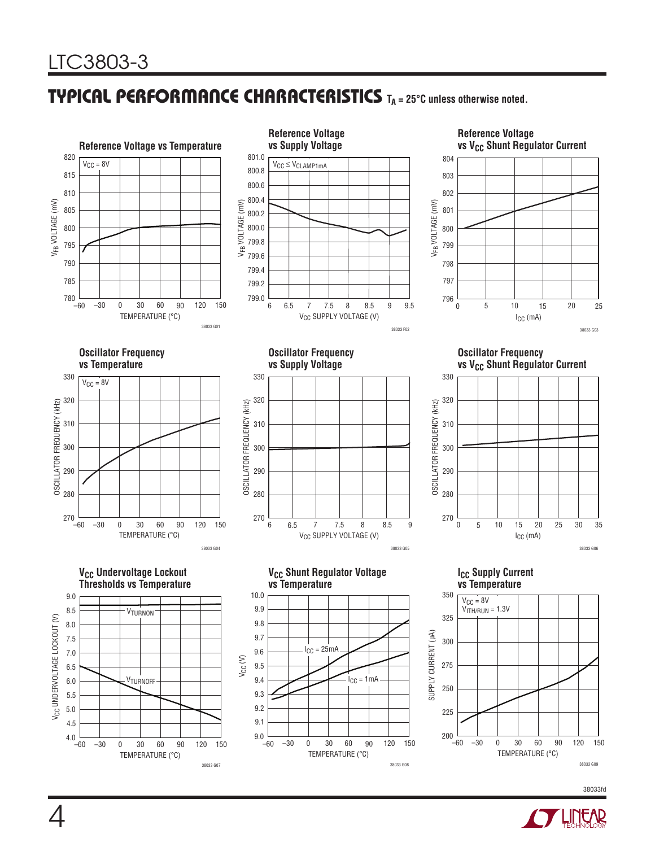#### **TYPICAL PERFORMANCE CHARACTERISTICS TA = 25°C unless otherwise noted.**



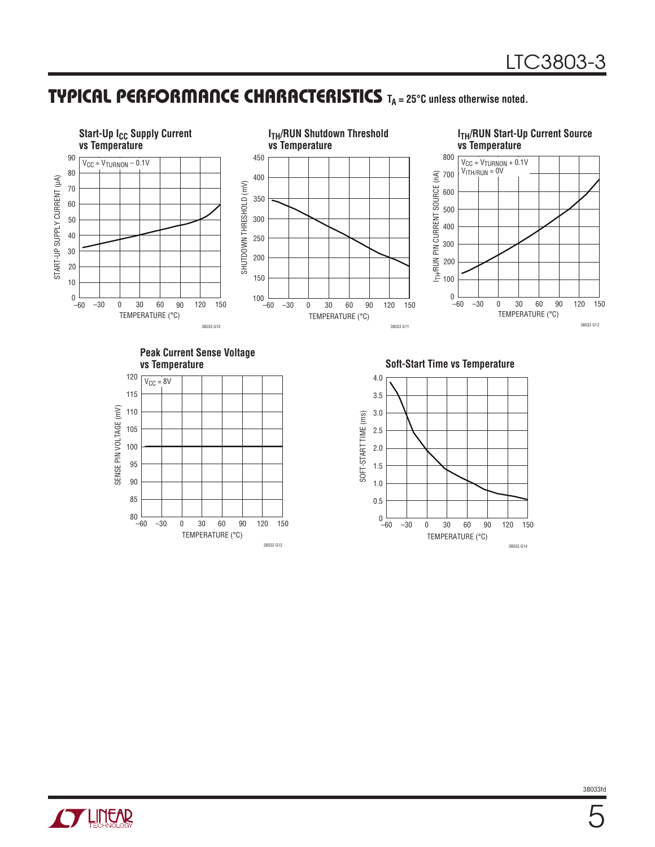### **TYPICAL PERFORMANCE CHARACTERISTICS TA = 25°C unless otherwise noted.**



38033 G14

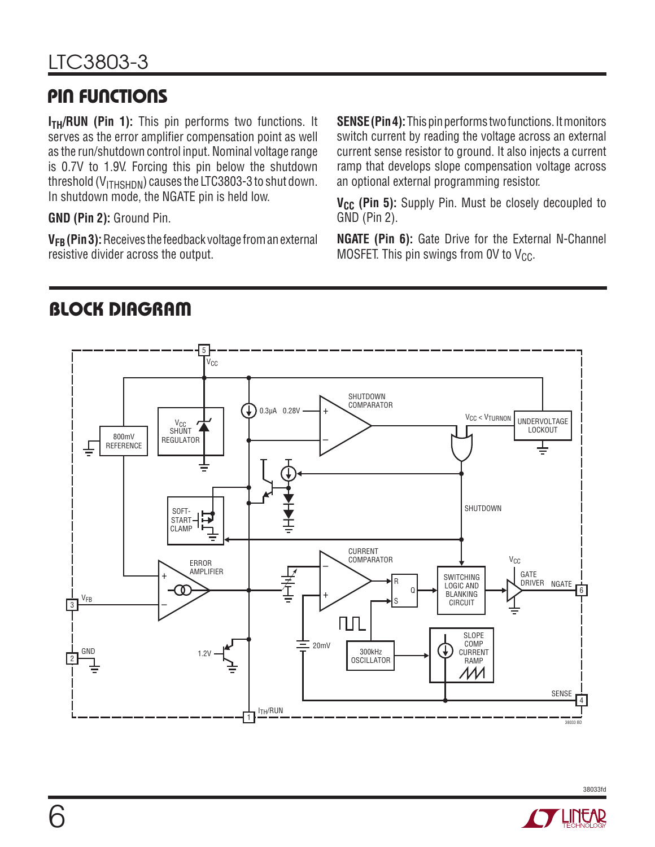### **PIN FUNCTIONS**

**I<sub>TH</sub>/RUN (Pin 1):** This pin performs two functions. It serves as the error amplifier compensation point as well as the run/shutdown control input. Nominal voltage range is 0.7V to 1.9V. Forcing this pin below the shutdown threshold ( $V_{\text{ITHSHDM}}$ ) causes the LTC3803-3 to shut down. In shutdown mode, the NGATE pin is held low.

**GND (Pin 2):** Ground Pin.

**VFB (Pin 3):** Receives the feedback voltage from an external resistive divider across the output.

**SENSE (Pin 4):** This pin performs two functions. It monitors switch current by reading the voltage across an external current sense resistor to ground. It also injects a current ramp that develops slope compensation voltage across an optional external programming resistor.

V<sub>CC</sub> (Pin 5): Supply Pin. Must be closely decoupled to GND (Pin 2).

**NGATE (Pin 6):** Gate Drive for the External N-Channel MOSFET. This pin swings from OV to  $V_{CC}$ .



# **BLOCK DIAGRAM**

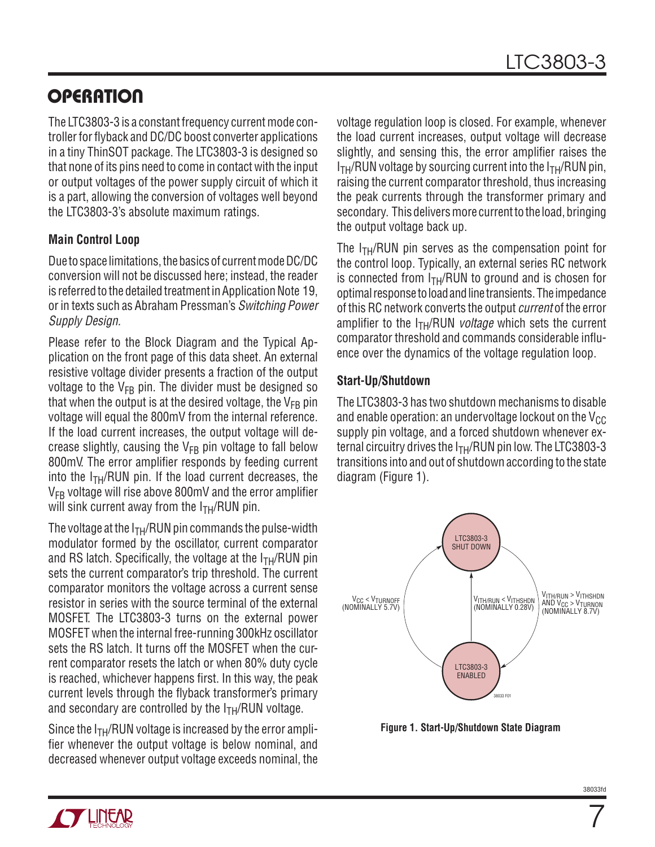### **OPERATION**

The LTC3803-3 is a constant frequency current mode controller for flyback and DC/DC boost converter applications in a tiny ThinSOT package. The LTC3803-3 is designed so that none of its pins need to come in contact with the input or output voltages of the power supply circuit of which it is a part, allowing the conversion of voltages well beyond the LTC3803-3's absolute maximum ratings.

#### **Main Control Loop**

Due to space limitations, the basics of current mode DC/DC conversion will not be discussed here; instead, the reader is referred to the detailed treatment in Application Note 19, or in texts such as Abraham Pressman's Switching Power Supply Design.

Please refer to the Block Diagram and the Typical Application on the front page of this data sheet. An external resistive voltage divider presents a fraction of the output voltage to the  $V_{FB}$  pin. The divider must be designed so that when the output is at the desired voltage, the  $V_{FR}$  pin voltage will equal the 800mV from the internal reference. If the load current increases, the output voltage will decrease slightly, causing the  $V_{FR}$  pin voltage to fall below 800mV. The error amplifier responds by feeding current into the  $I_{TH}/RUN$  pin. If the load current decreases, the  $V_{FB}$  voltage will rise above 800mV and the error amplifier will sink current away from the  $I<sub>TH</sub>/RUN$  pin.

The voltage at the  $I<sub>TH</sub>/RUN$  pin commands the pulse-width modulator formed by the oscillator, current comparator and RS latch. Specifically, the voltage at the  $I<sub>TH</sub>/RUN$  pin sets the current comparator's trip threshold. The current comparator monitors the voltage across a current sense resistor in series with the source terminal of the external MOSFET. The LTC3803-3 turns on the external power MOSFET when the internal free-running 300kHz oscillator sets the RS latch. It turns off the MOSFET when the current comparator resets the latch or when 80% duty cycle is reached, whichever happens first. In this way, the peak current levels through the flyback transformer's primary and secondary are controlled by the  $I<sub>TH</sub>/RUN$  voltage.

Since the  $I<sub>TH</sub>/RUN$  voltage is increased by the error amplifier whenever the output voltage is below nominal, and decreased whenever output voltage exceeds nominal, the voltage regulation loop is closed. For example, whenever the load current increases, output voltage will decrease slightly, and sensing this, the error amplifier raises the  $I<sub>TH</sub>/RUN$  voltage by sourcing current into the  $I<sub>TH</sub>/RUN$  pin, raising the current comparator threshold, thus increasing the peak currents through the transformer primary and secondary. This delivers more current to the load, bringing the output voltage back up.

The  $I_{TH}/RUN$  pin serves as the compensation point for the control loop. Typically, an external series RC network is connected from  $I<sub>TH</sub>/RUN$  to ground and is chosen for optimal response to load and line transients. The impedance of this RC network converts the output current of the error amplifier to the  $I<sub>TH</sub>/RUN$  voltage which sets the current comparator threshold and commands considerable influence over the dynamics of the voltage regulation loop.

#### **Start-Up/Shutdown**

The LTC3803-3 has two shutdown mechanisms to disable and enable operation: an undervoltage lockout on the  $V_{CC}$ supply pin voltage, and a forced shutdown whenever external circuitry drives the  $I<sub>TH</sub>/RUN$  pin low. The LTC3803-3 transitions into and out of shutdown according to the state diagram (Figure 1).



**Figure 1. Start-Up/Shutdown State Diagram**

7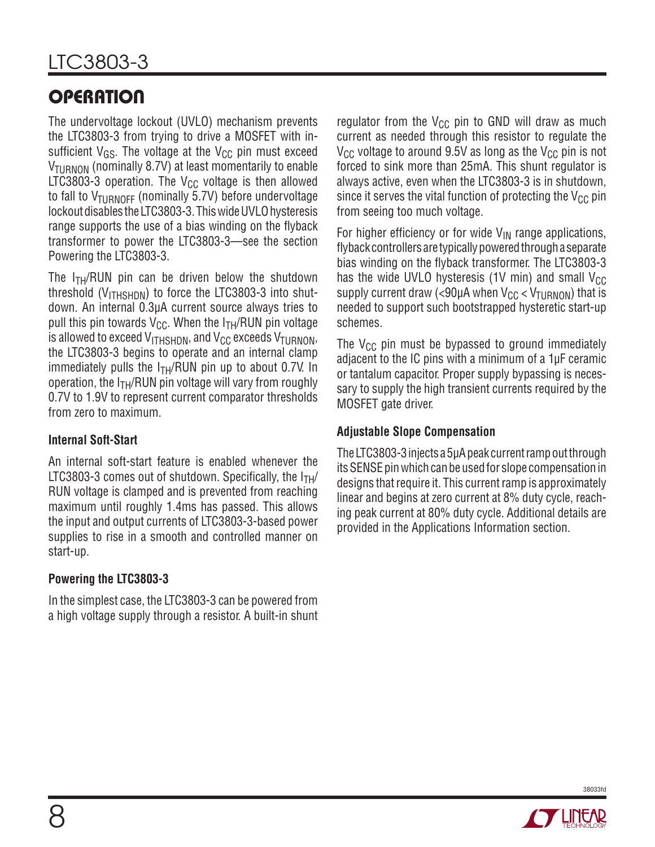# **OPERATION**

The undervoltage lockout (UVLO) mechanism prevents the LTC3803-3 from trying to drive a MOSFET with insufficient  $V_{GS}$ . The voltage at the  $V_{CC}$  pin must exceed  $V_{\text{TURNON}}$  (nominally 8.7V) at least momentarily to enable LTC3803-3 operation. The  $V_{CC}$  voltage is then allowed to fall to  $V_{TURNOFF}$  (nominally 5.7V) before undervoltage lockout disables the LTC3803-3. This wide UVLO hysteresis range supports the use of a bias winding on the flyback transformer to power the LTC3803-3—see the section Powering the LTC3803-3.

The  $I_{TH}/RUN$  pin can be driven below the shutdown threshold ( $V_{\text{ITHSHDN}}$ ) to force the LTC3803-3 into shutdown. An internal 0.3μA current source always tries to pull this pin towards  $V_{\text{CC}}$ . When the  $I_{\text{TH}}/RUN$  pin voltage is allowed to exceed  $V_{\text{ITHSHDN}}$ , and  $V_{\text{CC}}$  exceeds  $V_{\text{TURNON}}$ , the LTC3803-3 begins to operate and an internal clamp immediately pulls the  $I<sub>TH</sub>/RUN$  pin up to about 0.7V. In operation, the  $I<sub>TH</sub>/RUN$  pin voltage will vary from roughly 0.7V to 1.9V to represent current comparator thresholds from zero to maximum.

#### **Internal Soft-Start**

An internal soft-start feature is enabled whenever the LTC3803-3 comes out of shutdown. Specifically, the  $I<sub>TH</sub>$ RUN voltage is clamped and is prevented from reaching maximum until roughly 1.4ms has passed. This allows the input and output currents of LTC3803-3-based power supplies to rise in a smooth and controlled manner on start-up.

#### **Powering the LTC3803-3**

In the simplest case, the LTC3803-3 can be powered from a high voltage supply through a resistor. A built-in shunt regulator from the  $V_{CC}$  pin to GND will draw as much current as needed through this resistor to regulate the  $V_{\text{CC}}$  voltage to around 9.5V as long as the  $V_{\text{CC}}$  pin is not forced to sink more than 25mA. This shunt regulator is always active, even when the LTC3803-3 is in shutdown, since it serves the vital function of protecting the  $V_{CC}$  pin from seeing too much voltage.

For higher efficiency or for wide  $V_{IN}$  range applications, flyback controllers are typically powered through a separate bias winding on the flyback transformer. The LTC3803-3 has the wide UVLO hysteresis (1V min) and small  $V_{CC}$ supply current draw (<90µA when  $V_{CC}$  <  $V_{TURNON}$ ) that is needed to support such bootstrapped hysteretic start-up schemes.

The  $V_{CC}$  pin must be bypassed to ground immediately adjacent to the IC pins with a minimum of a 1μF ceramic or tantalum capacitor. Proper supply bypassing is necessary to supply the high transient currents required by the MOSFET gate driver.

#### **Adjustable Slope Compensation**

The LTC3803-3 injects a 5μA peak current ramp out through its SENSE pin which can be used for slope compensation in designs that require it. This current ramp is approximately linear and begins at zero current at 8% duty cycle, reaching peak current at 80% duty cycle. Additional details are provided in the Applications Information section.



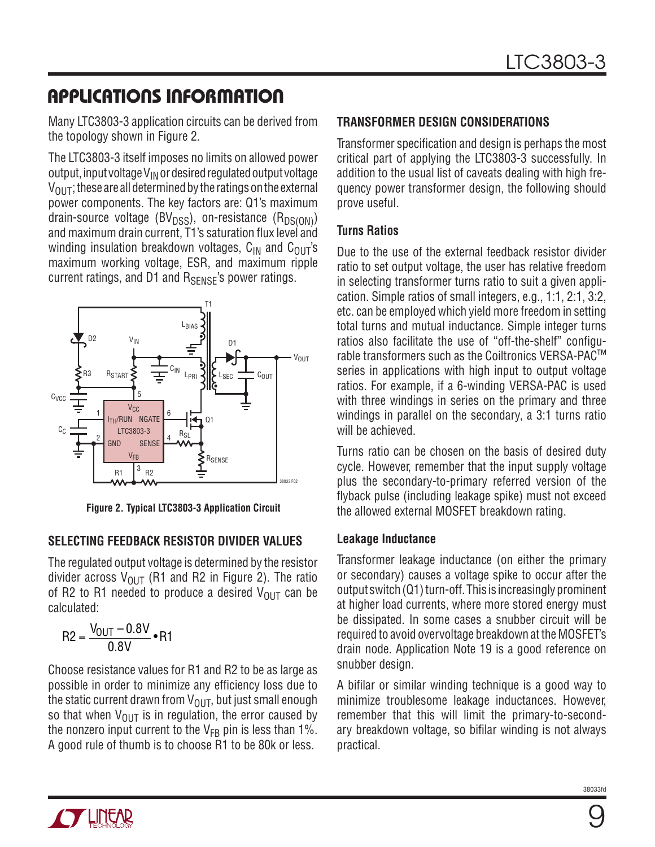### **APPLICATIONS INFORMATION**

Many LTC3803-3 application circuits can be derived from the topology shown in Figure 2.

The LTC3803-3 itself imposes no limits on allowed power output, input voltage  $V_{IN}$  or desired regulated output voltage  $V_{\text{OUT}}$ ; these are all determined by the ratings on the external power components. The key factors are: Q1's maximum drain-source voltage ( $BV<sub>DSS</sub>$ ), on-resistance ( $R<sub>DS(OM</sub>$ ) and maximum drain current, T1's saturation flux level and winding insulation breakdown voltages,  $C_{IN}$  and  $C_{OUT}$ 's maximum working voltage, ESR, and maximum ripple current ratings, and D1 and  $R_{\text{SFNSF}}$ 's power ratings.



**Figure 2. Typical LTC3803-3 Application Circuit**

#### **SELECTING FEEDBACK RESISTOR DIVIDER VALUES**

The regulated output voltage is determined by the resistor divider across  $V_{OIII}$  (R1 and R2 in Figure 2). The ratio of R2 to R1 needed to produce a desired  $V_{\text{OUT}}$  can be calculated:

$$
R2 = \frac{V_{OUT} - 0.8V}{0.8V} \bullet R1
$$

Choose resistance values for R1 and R2 to be as large as possible in order to minimize any efficiency loss due to the static current drawn from  $V_{\text{OUT}}$ , but just small enough so that when  $V_{\text{OUT}}$  is in regulation, the error caused by the nonzero input current to the  $V_{FB}$  pin is less than 1%. A good rule of thumb is to choose R1 to be 80k or less.

#### **TRANSFORMER DESIGN CONSIDERATIONS**

Transformer specification and design is perhaps the most critical part of applying the LTC3803-3 successfully. In addition to the usual list of caveats dealing with high frequency power transformer design, the following should prove useful.

#### **Turns Ratios**

Due to the use of the external feedback resistor divider ratio to set output voltage, the user has relative freedom in selecting transformer turns ratio to suit a given application. Simple ratios of small integers, e.g., 1:1, 2:1, 3:2, etc. can be employed which yield more freedom in setting total turns and mutual inductance. Simple integer turns ratios also facilitate the use of "off-the-shelf" configurable transformers such as the Coiltronics VERSA-PAC™ series in applications with high input to output voltage ratios. For example, if a 6-winding VERSA-PAC is used with three windings in series on the primary and three windings in parallel on the secondary, a 3:1 turns ratio will be achieved.

Turns ratio can be chosen on the basis of desired duty cycle. However, remember that the input supply voltage plus the secondary-to-primary referred version of the flyback pulse (including leakage spike) must not exceed the allowed external MOSFET breakdown rating.

#### **Leakage Inductance**

Transformer leakage inductance (on either the primary or secondary) causes a voltage spike to occur after the output switch (Q1) turn-off. This is increasingly prominent at higher load currents, where more stored energy must be dissipated. In some cases a snubber circuit will be required to avoid overvoltage breakdown at the MOSFET's drain node. Application Note 19 is a good reference on snubber design.

A bifilar or similar winding technique is a good way to minimize troublesome leakage inductances. However, remember that this will limit the primary-to-secondary breakdown voltage, so bifilar winding is not always practical.

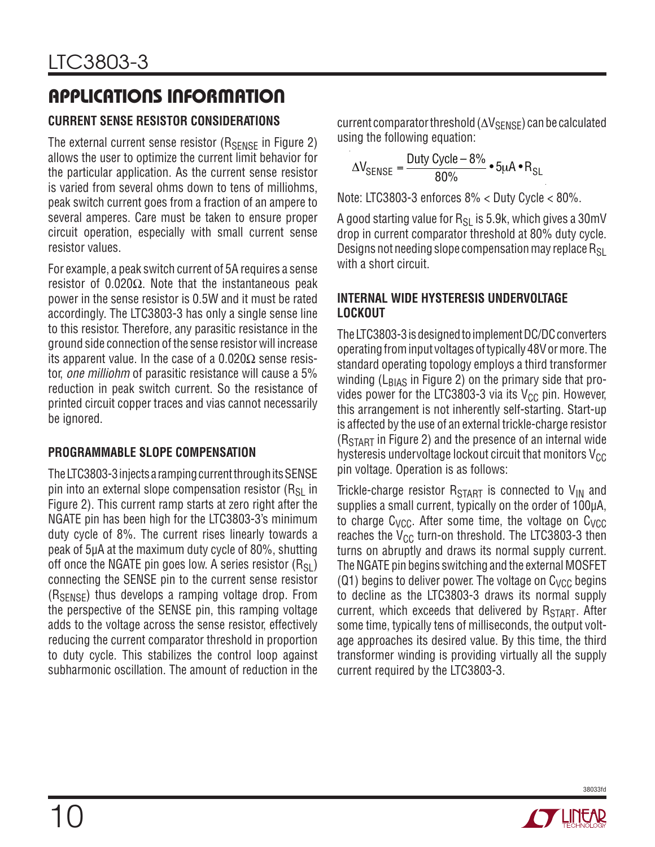### **APPLICATIONS INFORMATION**

#### **CURRENT SENSE RESISTOR CONSIDERATIONS**

The external current sense resistor ( $R_{\text{SENSE}}$  in Figure 2) allows the user to optimize the current limit behavior for the particular application. As the current sense resistor is varied from several ohms down to tens of milliohms, peak switch current goes from a fraction of an ampere to several amperes. Care must be taken to ensure proper circuit operation, especially with small current sense resistor values.

For example, a peak switch current of 5A requires a sense resistor of 0.020 $Ω$ . Note that the instantaneous peak power in the sense resistor is 0.5W and it must be rated accordingly. The LTC3803-3 has only a single sense line to this resistor. Therefore, any parasitic resistance in the ground side connection of the sense resistor will increase its apparent value. In the case of a  $0.020\Omega$  sense resistor, one milliohm of parasitic resistance will cause a 5% reduction in peak switch current. So the resistance of printed circuit copper traces and vias cannot necessarily be ignored.

#### **PROGRAMMABLE SLOPE COMPENSATION**

The LTC3803-3 injects a ramping current through its SENSE pin into an external slope compensation resistor  $(R_{\rm SI}$  in Figure 2). This current ramp starts at zero right after the NGATE pin has been high for the LTC3803-3's minimum duty cycle of 8%. The current rises linearly towards a peak of 5μA at the maximum duty cycle of 80%, shutting off once the NGATE pin goes low. A series resistor  $(R_{S1})$ connecting the SENSE pin to the current sense resistor  $(R_{SENSE})$  thus develops a ramping voltage drop. From the perspective of the SENSE pin, this ramping voltage adds to the voltage across the sense resistor, effectively reducing the current comparator threshold in proportion to duty cycle. This stabilizes the control loop against subharmonic oscillation. The amount of reduction in the

current comparator threshold ( $\Delta V_{\text{SENSE}}$ ) can be calculated using the following equation:

$$
\Delta V_{\text{SENSE}} = \frac{\text{Duty Cycle} - 8\%}{80\%} \cdot 5\mu\text{A} \cdot \text{R}_{\text{SL}}
$$

Note: LTC3803-3 enforces 8% < Duty Cycle < 80%.

A good starting value for  $R_{SI}$  is 5.9k, which gives a 30mV drop in current comparator threshold at 80% duty cycle. Designs not needing slope compensation may replace  $R_{SL}$ with a short circuit.

#### **INTERNAL WIDE HYSTERESIS UNDERVOLTAGE LOCKOUT**

The LTC3803-3 is designed to implement DC/DC converters operating from input voltages of typically 48V or more. The standard operating topology employs a third transformer winding ( $L_{\text{BIAS}}$  in Figure 2) on the primary side that provides power for the LTC3803-3 via its  $V_{CC}$  pin. However, this arrangement is not inherently self-starting. Start-up is affected by the use of an external trickle-charge resistor  $(R<sub>STAT</sub>$  in Figure 2) and the presence of an internal wide hysteresis undervoltage lockout circuit that monitors  $V_{CC}$ pin voltage. Operation is as follows:

Trickle-charge resistor  $R_{START}$  is connected to  $V_{IN}$  and supplies a small current, typically on the order of 100μA, to charge  $C_{VCC}$ . After some time, the voltage on  $C_{VCC}$ reaches the  $V_{CC}$  turn-on threshold. The LTC3803-3 then turns on abruptly and draws its normal supply current. The NGATE pin begins switching and the external MOSFET (Q1) begins to deliver power. The voltage on  $C<sub>VCC</sub>$  begins to decline as the LTC3803-3 draws its normal supply current, which exceeds that delivered by  $R_{\text{STAT}}$ . After some time, typically tens of milliseconds, the output voltage approaches its desired value. By this time, the third transformer winding is providing virtually all the supply current required by the LTC3803-3.

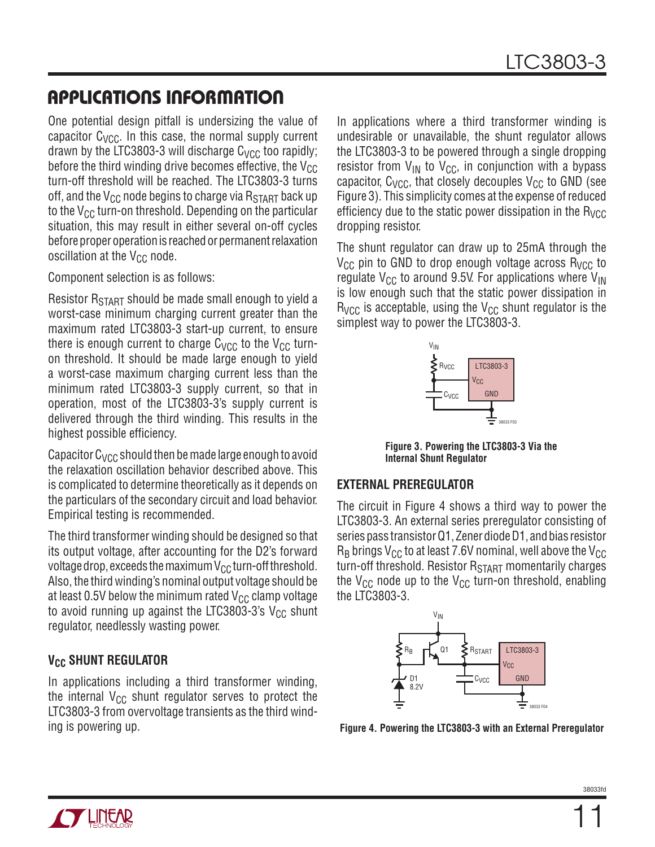### **APPLICATIONS INFORMATION**

One potential design pitfall is undersizing the value of capacitor  $C_{VCC}$ . In this case, the normal supply current drawn by the LTC3803-3 will discharge  $C_{VCC}$  too rapidly; before the third winding drive becomes effective, the  $V_{CC}$ turn-off threshold will be reached. The LTC3803-3 turns off, and the  $V_{CC}$  node begins to charge via  $R_{START}$  back up to the  $V_{CC}$  turn-on threshold. Depending on the particular situation, this may result in either several on-off cycles before proper operation is reached or permanent relaxation oscillation at the  $V_{CC}$  node.

Component selection is as follows:

Resistor R<sub>START</sub> should be made small enough to yield a worst-case minimum charging current greater than the maximum rated LTC3803-3 start-up current, to ensure there is enough current to charge  $C_{VCC}$  to the  $V_{CC}$  turnon threshold. It should be made large enough to yield a worst-case maximum charging current less than the minimum rated LTC3803-3 supply current, so that in operation, most of the LTC3803-3's supply current is delivered through the third winding. This results in the highest possible efficiency.

Capacitor  $C_{VCC}$  should then be made large enough to avoid the relaxation oscillation behavior described above. This is complicated to determine theoretically as it depends on the particulars of the secondary circuit and load behavior. Empirical testing is recommended.

The third transformer winding should be designed so that its output voltage, after accounting for the D2's forward voltage drop, exceeds the maximum  $V_{CC}$  turn-off threshold. Also, the third winding's nominal output voltage should be at least 0.5V below the minimum rated  $V_{CC}$  clamp voltage to avoid running up against the LTC3803-3's  $V_{CC}$  shunt regulator, needlessly wasting power.

#### **V<sub>CC</sub> SHUNT REGULATOR**

In applications including a third transformer winding, the internal  $V_{CC}$  shunt regulator serves to protect the LTC3803-3 from overvoltage transients as the third winding is powering up.

In applications where a third transformer winding is undesirable or unavailable, the shunt regulator allows the LTC3803-3 to be powered through a single dropping resistor from  $V_{IN}$  to  $V_{CC}$ , in conjunction with a bypass capacitor,  $C_{VCC}$ , that closely decouples  $V_{CC}$  to GND (see Figure 3). This simplicity comes at the expense of reduced efficiency due to the static power dissipation in the  $R_{VCC}$ dropping resistor.

The shunt regulator can draw up to 25mA through the  $V_{CC}$  pin to GND to drop enough voltage across  $R_{VCC}$  to regulate  $V_{CC}$  to around 9.5V. For applications where  $V_{IN}$ is low enough such that the static power dissipation in  $R_{VCC}$  is acceptable, using the  $V_{CC}$  shunt regulator is the simplest way to power the LTC3803-3.



**Figure 3. Powering the LTC3803-3 Via the Internal Shunt Regulator**

#### **EXTERNAL PREREGULATOR**

The circuit in Figure 4 shows a third way to power the LTC3803-3. An external series preregulator consisting of series pass transistor Q1, Zener diode D1, and bias resistor  $R_B$  brings V<sub>CC</sub> to at least 7.6V nominal, well above the V<sub>CC</sub> turn-off threshold. Resistor  $R_{START}$  momentarily charges the  $V_{CC}$  node up to the  $V_{CC}$  turn-on threshold, enabling the LTC3803-3.



**Figure 4. Powering the LTC3803-3 with an External Preregulator**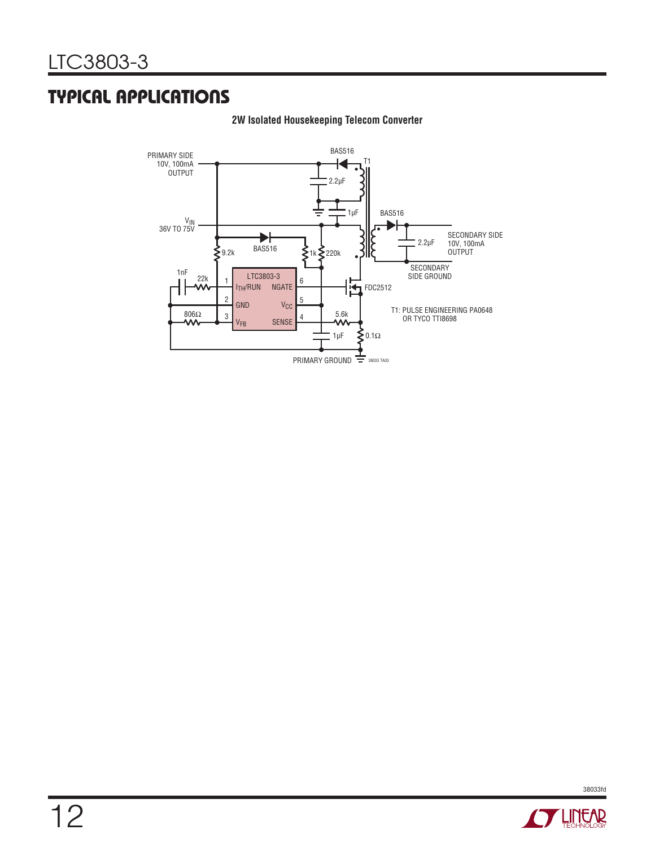### **TYPICAL APPLICATIONS**



#### **2W Isolated Housekeeping Telecom Converter**



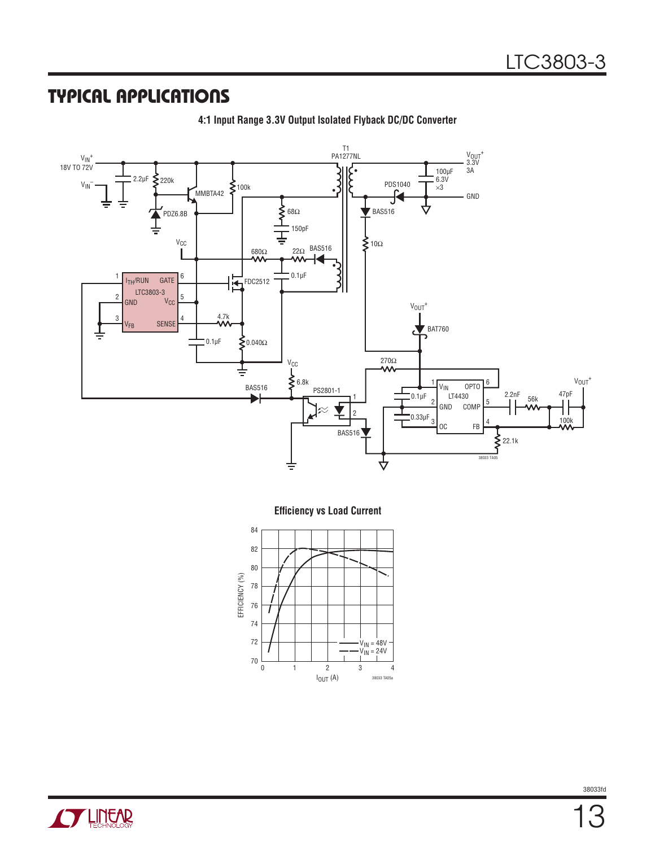### **TYPICAL APPLICATIONS**



**4:1 Input Range 3.3V Output Isolated Flyback DC/DC Converter**

**Efficiency vs Load Current** 



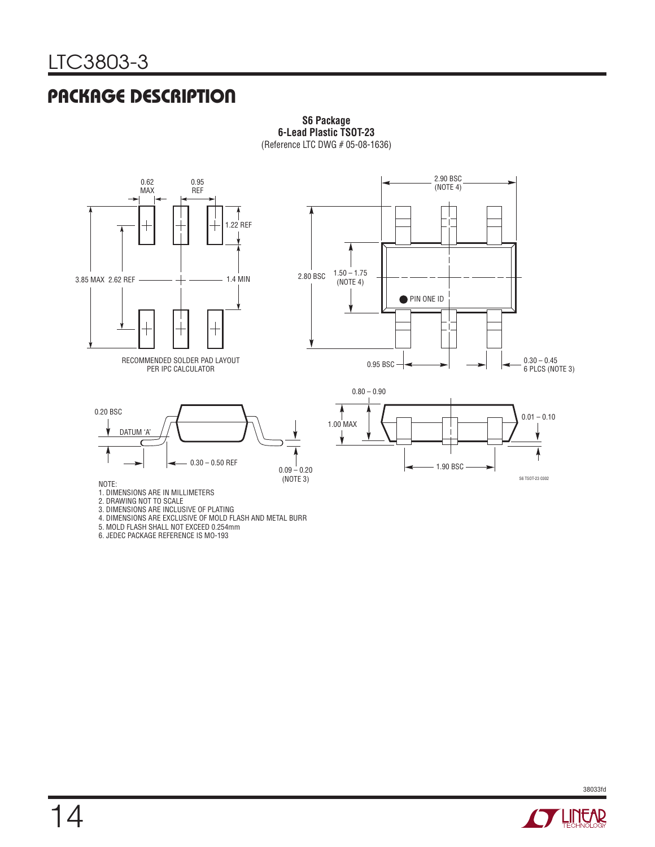### **PACKAGE DESCRIPTION**



#### **S6 Package 6-Lead Plastic TSOT-23** (Reference LTC DWG # 05-08-1636)

2. DRAWING NOT TO SCALE

3. DIMENSIONS ARE INCLUSIVE OF PLATING

- 4. DIMENSIONS ARE EXCLUSIVE OF MOLD FLASH AND METAL BURR
- 5. MOLD FLASH SHALL NOT EXCEED 0.254mm
- 6. JEDEC PACKAGE REFERENCE IS MO-193

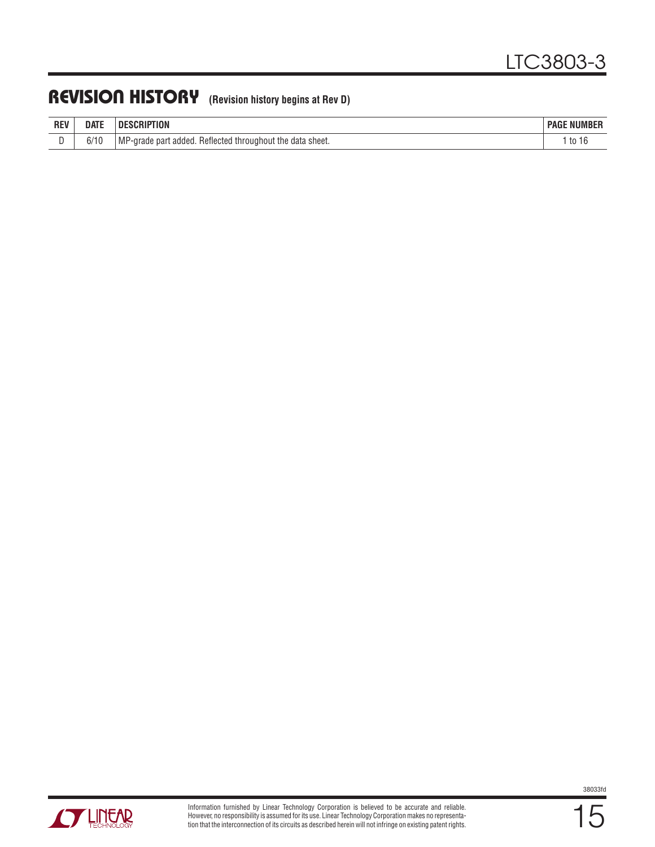### **REVISION HISTORY (Revision history begins at Rev D)**

| <b>REV</b> | <b>DATE</b>              | ESCRIPTION<br>DE                                                        | <b>NUMBER</b><br><b>PAGE</b> |
|------------|--------------------------|-------------------------------------------------------------------------|------------------------------|
| -          | <b>CIAC</b><br>O/<br>1 U | MP<br>Reflected throughout the<br>data sheet.<br>added.<br>'-arade parl | to<br>ิเเ                    |